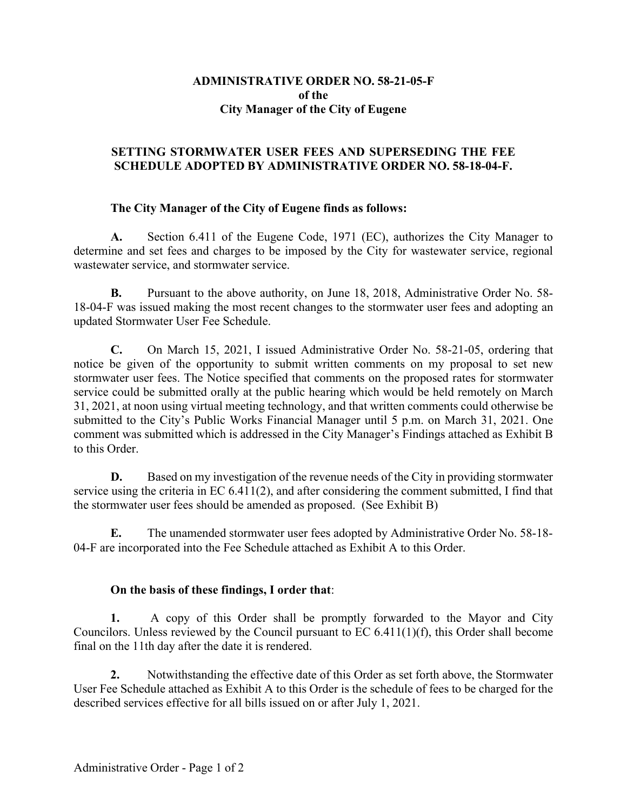# **ADMINISTRATIVE ORDER NO. 58-21-05-F of the City Manager of the City of Eugene**

# **SETTING STORMWATER USER FEES AND SUPERSEDING THE FEE SCHEDULE ADOPTED BY ADMINISTRATIVE ORDER NO. 58-18-04-F.**

# **The City Manager of the City of Eugene finds as follows:**

**A.** Section 6.411 of the Eugene Code, 1971 (EC), authorizes the City Manager to determine and set fees and charges to be imposed by the City for wastewater service, regional wastewater service, and stormwater service.

**B.** Pursuant to the above authority, on June 18, 2018, Administrative Order No. 58- 18-04-F was issued making the most recent changes to the stormwater user fees and adopting an updated Stormwater User Fee Schedule.

**C.** On March 15, 2021, I issued Administrative Order No. 58-21-05, ordering that notice be given of the opportunity to submit written comments on my proposal to set new stormwater user fees. The Notice specified that comments on the proposed rates for stormwater service could be submitted orally at the public hearing which would be held remotely on March 31, 2021, at noon using virtual meeting technology, and that written comments could otherwise be submitted to the City's Public Works Financial Manager until 5 p.m. on March 31, 2021. One comment was submitted which is addressed in the City Manager's Findings attached as Exhibit B to this Order.

**D.** Based on my investigation of the revenue needs of the City in providing stormwater service using the criteria in EC 6.411(2), and after considering the comment submitted, I find that the stormwater user fees should be amended as proposed. (See Exhibit B)

**E.** The unamended stormwater user fees adopted by Administrative Order No. 58-18- 04-F are incorporated into the Fee Schedule attached as Exhibit A to this Order.

## **On the basis of these findings, I order that**:

**1.** A copy of this Order shall be promptly forwarded to the Mayor and City Councilors. Unless reviewed by the Council pursuant to EC 6.411(1)(f), this Order shall become final on the 11th day after the date it is rendered.

**2.** Notwithstanding the effective date of this Order as set forth above, the Stormwater User Fee Schedule attached as Exhibit A to this Order is the schedule of fees to be charged for the described services effective for all bills issued on or after July 1, 2021.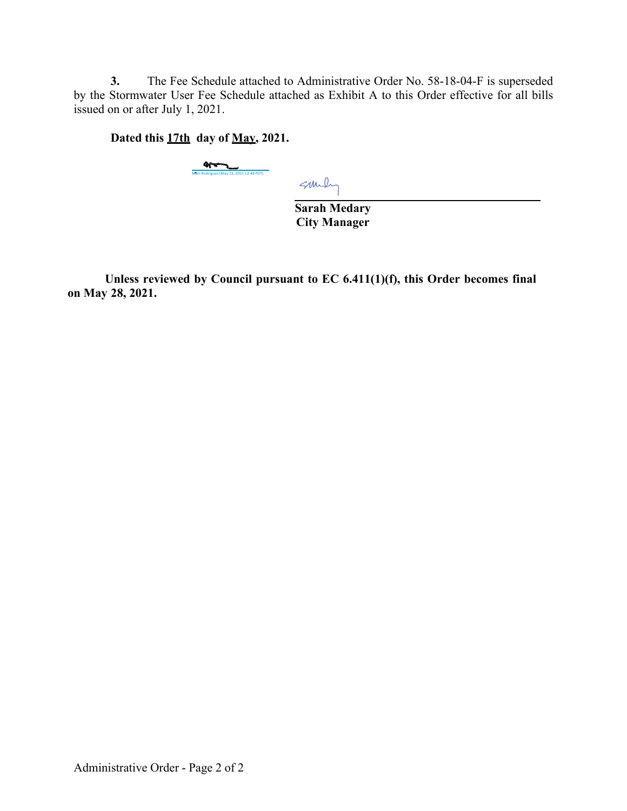**3.** The Fee Schedule attached to Administrative Order No. 58-18-04-F is superseded by the Stormwater User Fee Schedule attached as Exhibit A to this Order effective for all bills issued on or after July 1, 2021.

**Dated this 17th day of May, 2021.** 

Matthews (May 13, 2021 12:48 PDT)

Sundy

**Sarah Medary City Manager** 

**Unless reviewed by Council pursuant to EC 6.411(1)(f), this Order becomes final on May 28, 2021.**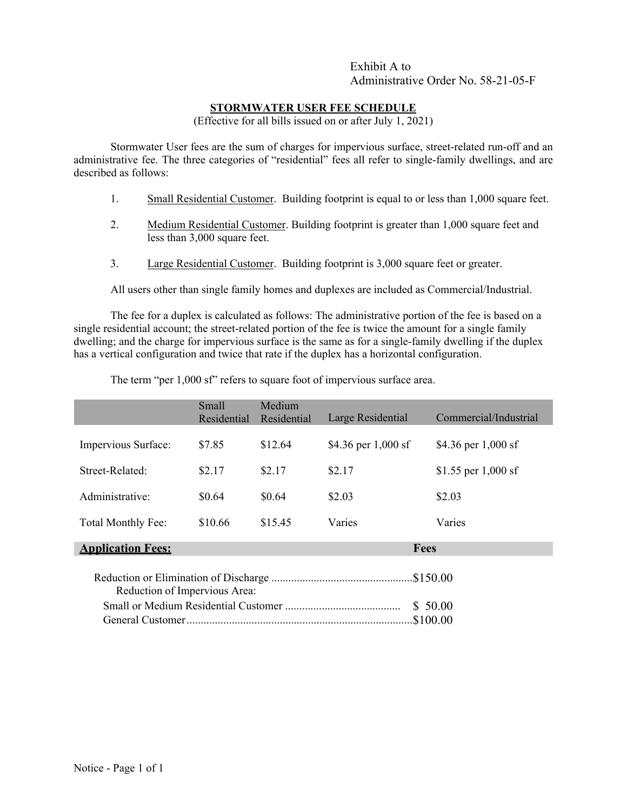### **STORMWATER USER FEE SCHEDULE**

(Effective for all bills issued on or after July 1, 2021)

Stormwater User fees are the sum of charges for impervious surface, street-related run-off and an administrative fee. The three categories of "residential" fees all refer to single-family dwellings, and are described as follows:

- 1. Small Residential Customer. Building footprint is equal to or less than 1,000 square feet.
- 2. Medium Residential Customer. Building footprint is greater than 1,000 square feet and less than 3,000 square feet.
- 3. Large Residential Customer. Building footprint is 3,000 square feet or greater.

All users other than single family homes and duplexes are included as Commercial/Industrial.

The fee for a duplex is calculated as follows: The administrative portion of the fee is based on a single residential account; the street-related portion of the fee is twice the amount for a single family dwelling; and the charge for impervious surface is the same as for a single-family dwelling if the duplex has a vertical configuration and twice that rate if the duplex has a horizontal configuration.

|                               | Small<br>Residential | Medium<br>Residential | Large Residential   | Commercial/Industrial |  |  |
|-------------------------------|----------------------|-----------------------|---------------------|-----------------------|--|--|
| Impervious Surface:           | \$7.85               | \$12.64               | \$4.36 per 1,000 sf | \$4.36 per $1,000$ sf |  |  |
|                               |                      |                       |                     |                       |  |  |
| Street-Related:               | \$2.17               | \$2.17                | \$2.17              | \$1.55 per $1,000$ sf |  |  |
| Administrative:               | \$0.64               | \$0.64                | \$2.03              | \$2.03                |  |  |
| Total Monthly Fee:            | \$10.66              | \$15.45               | Varies              | Varies                |  |  |
| <b>Application Fees:</b>      |                      |                       | Fees                |                       |  |  |
| Reduction of Impervious Area: |                      |                       |                     |                       |  |  |
|                               |                      | \$50.00               |                     |                       |  |  |
|                               |                      |                       |                     |                       |  |  |

The term "per 1,000 sf" refers to square foot of impervious surface area.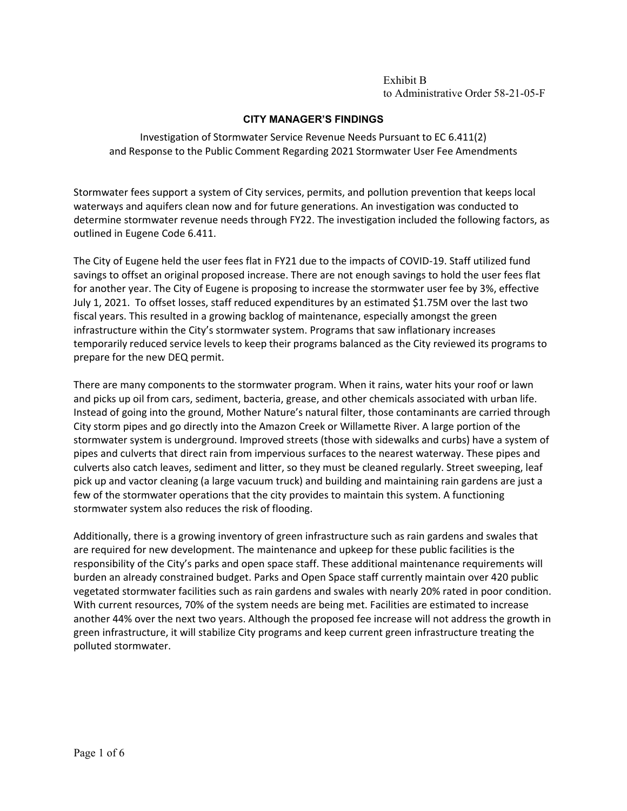### **CITY MANAGER'S FINDINGS**

Investigation of Stormwater Service Revenue Needs Pursuant to EC 6.411(2) and Response to the Public Comment Regarding 2021 Stormwater User Fee Amendments

Stormwater fees support a system of City services, permits, and pollution prevention that keeps local waterways and aquifers clean now and for future generations. An investigation was conducted to determine stormwater revenue needs through FY22. The investigation included the following factors, as outlined in Eugene Code 6.411.

The City of Eugene held the user fees flat in FY21 due to the impacts of COVID‐19. Staff utilized fund savings to offset an original proposed increase. There are not enough savings to hold the user fees flat for another year. The City of Eugene is proposing to increase the stormwater user fee by 3%, effective July 1, 2021. To offset losses, staff reduced expenditures by an estimated \$1.75M over the last two fiscal years. This resulted in a growing backlog of maintenance, especially amongst the green infrastructure within the City's stormwater system. Programs that saw inflationary increases temporarily reduced service levels to keep their programs balanced as the City reviewed its programs to prepare for the new DEQ permit.

There are many components to the stormwater program. When it rains, water hits your roof or lawn and picks up oil from cars, sediment, bacteria, grease, and other chemicals associated with urban life. Instead of going into the ground, Mother Nature's natural filter, those contaminants are carried through City storm pipes and go directly into the Amazon Creek or Willamette River. A large portion of the stormwater system is underground. Improved streets (those with sidewalks and curbs) have a system of pipes and culverts that direct rain from impervious surfaces to the nearest waterway. These pipes and culverts also catch leaves, sediment and litter, so they must be cleaned regularly. Street sweeping, leaf pick up and vactor cleaning (a large vacuum truck) and building and maintaining rain gardens are just a few of the stormwater operations that the city provides to maintain this system. A functioning stormwater system also reduces the risk of flooding.

Additionally, there is a growing inventory of green infrastructure such as rain gardens and swales that are required for new development. The maintenance and upkeep for these public facilities is the responsibility of the City's parks and open space staff. These additional maintenance requirements will burden an already constrained budget. Parks and Open Space staff currently maintain over 420 public vegetated stormwater facilities such as rain gardens and swales with nearly 20% rated in poor condition. With current resources, 70% of the system needs are being met. Facilities are estimated to increase another 44% over the next two years. Although the proposed fee increase will not address the growth in green infrastructure, it will stabilize City programs and keep current green infrastructure treating the polluted stormwater.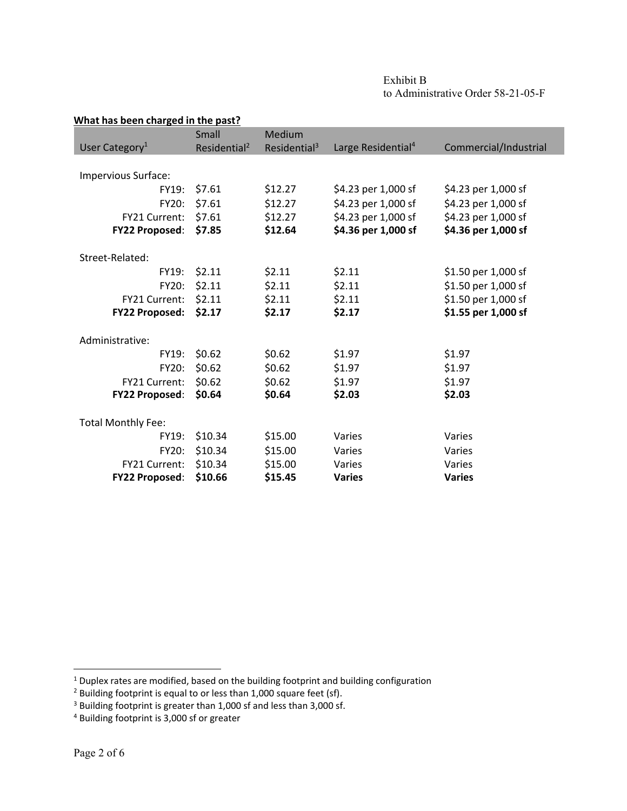| Exhibit B                          |
|------------------------------------|
| to Administrative Order 58-21-05-F |

| What has been charged in the past? |                          |                          |                                |                       |  |  |
|------------------------------------|--------------------------|--------------------------|--------------------------------|-----------------------|--|--|
|                                    | Small                    | Medium                   |                                |                       |  |  |
| User Category <sup>1</sup>         | Residential <sup>2</sup> | Residential <sup>3</sup> | Large Residential <sup>4</sup> | Commercial/Industrial |  |  |
|                                    |                          |                          |                                |                       |  |  |
| Impervious Surface:                |                          |                          |                                |                       |  |  |
| FY19:                              | \$7.61                   | \$12.27                  | \$4.23 per 1,000 sf            | \$4.23 per 1,000 sf   |  |  |
| FY20:                              | \$7.61                   | \$12.27                  | \$4.23 per 1,000 sf            | \$4.23 per 1,000 sf   |  |  |
| FY21 Current:                      | \$7.61                   | \$12.27                  | \$4.23 per 1,000 sf            | \$4.23 per 1,000 sf   |  |  |
| <b>FY22 Proposed:</b>              | \$7.85                   | \$12.64                  | \$4.36 per 1,000 sf            | \$4.36 per 1,000 sf   |  |  |
|                                    |                          |                          |                                |                       |  |  |
| Street-Related:                    |                          |                          |                                |                       |  |  |
| FY19:                              | \$2.11                   | \$2.11                   | \$2.11                         | \$1.50 per 1,000 sf   |  |  |
| FY20:                              | \$2.11                   | \$2.11                   | \$2.11                         | \$1.50 per 1,000 sf   |  |  |
| FY21 Current:                      | \$2.11                   | \$2.11                   | \$2.11                         | \$1.50 per 1,000 sf   |  |  |
| <b>FY22 Proposed:</b>              | \$2.17                   | \$2.17                   | \$2.17                         | \$1.55 per 1,000 sf   |  |  |
|                                    |                          |                          |                                |                       |  |  |
| Administrative:                    |                          |                          |                                |                       |  |  |
| FY19:                              | \$0.62                   | \$0.62                   | \$1.97                         | \$1.97                |  |  |
| FY20:                              | \$0.62                   | \$0.62                   | \$1.97                         | \$1.97                |  |  |
| FY21 Current:                      | \$0.62                   | \$0.62                   | \$1.97                         | \$1.97                |  |  |
| <b>FY22 Proposed:</b>              | \$0.64                   | \$0.64                   | \$2.03                         | \$2.03                |  |  |
|                                    |                          |                          |                                |                       |  |  |
| <b>Total Monthly Fee:</b>          |                          |                          |                                |                       |  |  |
| FY19:                              | \$10.34                  | \$15.00                  | Varies                         | Varies                |  |  |
| <b>FY20:</b>                       | \$10.34                  | \$15.00                  | Varies                         | Varies                |  |  |
| FY21 Current:                      | \$10.34                  | \$15.00                  | Varies                         | Varies                |  |  |
| <b>FY22 Proposed:</b>              | \$10.66                  | \$15.45                  | <b>Varies</b>                  | <b>Varies</b>         |  |  |

 $<sup>1</sup>$  Duplex rates are modified, based on the building footprint and building configuration</sup>

 $2$  Building footprint is equal to or less than 1,000 square feet (sf).

 $3$  Building footprint is greater than 1,000 sf and less than 3,000 sf.

<sup>4</sup> Building footprint is 3,000 sf or greater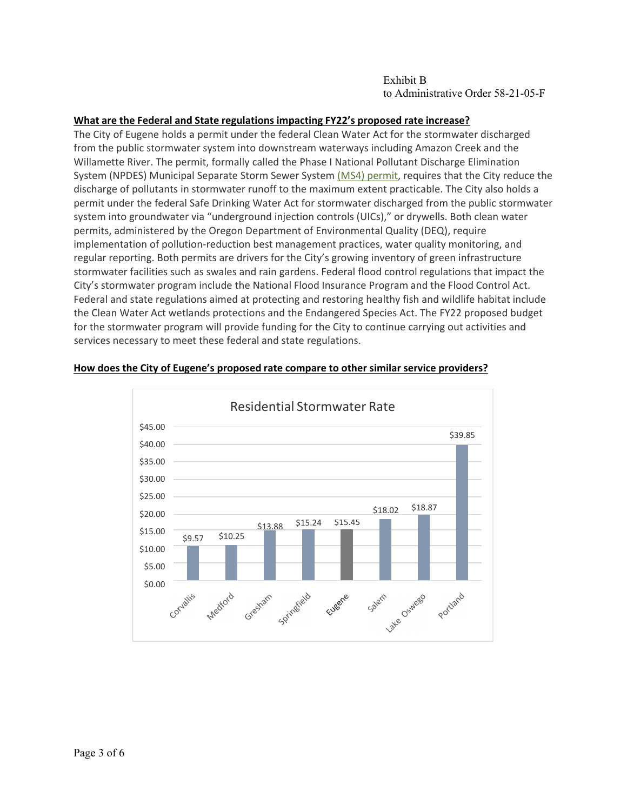### **What are the Federal and State regulations impacting FY22's proposed rate increase?**

The City of Eugene holds a permit under the federal Clean Water Act for the stormwater discharged from the public stormwater system into downstream waterways including Amazon Creek and the Willamette River. The permit, formally called the Phase I National Pollutant Discharge Elimination System (NPDES) Municipal Separate Storm Sewer System (MS4) permit, requires that the City reduce the discharge of pollutants in stormwater runoff to the maximum extent practicable. The City also holds a permit under the federal Safe Drinking Water Act for stormwater discharged from the public stormwater system into groundwater via "underground injection controls (UICs)," or drywells. Both clean water permits, administered by the Oregon Department of Environmental Quality (DEQ), require implementation of pollution-reduction best management practices, water quality monitoring, and regular reporting. Both permits are drivers for the City's growing inventory of green infrastructure stormwater facilities such as swales and rain gardens. Federal flood control regulations that impact the City's stormwater program include the National Flood Insurance Program and the Flood Control Act. Federal and state regulations aimed at protecting and restoring healthy fish and wildlife habitat include the Clean Water Act wetlands protections and the Endangered Species Act. The FY22 proposed budget for the stormwater program will provide funding for the City to continue carrying out activities and services necessary to meet these federal and state regulations.



#### **How does the City of Eugene's proposed rate compare to other similar service providers?**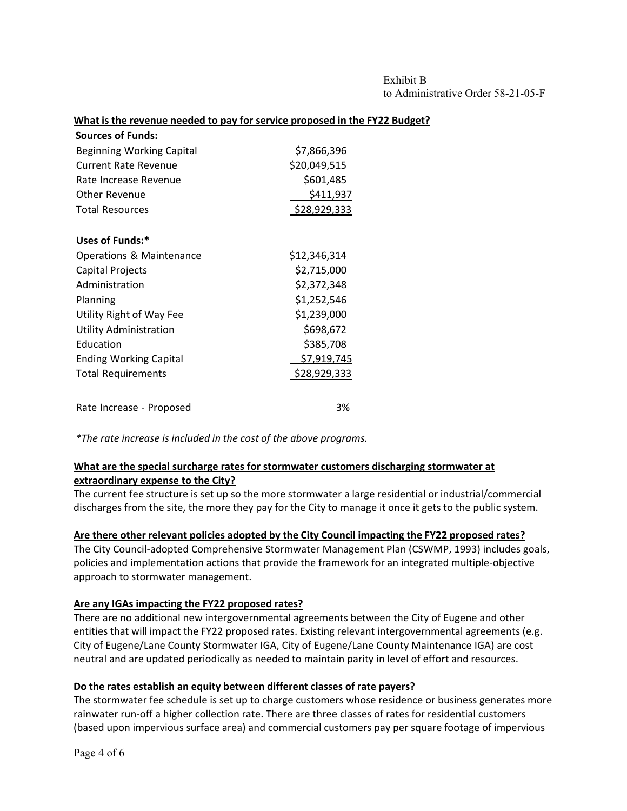### **What is the revenue needed to pay for service proposed in the FY22 Budget?**

| <b>Sources of Funds:</b>         |                     |
|----------------------------------|---------------------|
| <b>Beginning Working Capital</b> | \$7,866,396         |
| <b>Current Rate Revenue</b>      | \$20,049,515        |
| Rate Increase Revenue            | \$601,485           |
| Other Revenue                    | \$411,937           |
| <b>Total Resources</b>           | \$28,929,333        |
| Uses of Funds:*                  |                     |
| Operations & Maintenance         | \$12,346,314        |
| Capital Projects                 | \$2,715,000         |
| Administration                   | \$2,372,348         |
| Planning                         | \$1,252,546         |
| Utility Right of Way Fee         | \$1,239,000         |
| <b>Utility Administration</b>    | \$698,672           |
| Education                        | \$385,708           |
| <b>Ending Working Capital</b>    | \$7,919,745         |
| <b>Total Requirements</b>        | <u>\$28,929,333</u> |
| Rate Increase - Proposed         | 3%                  |

*\*The rate increase is included in the cost of the above programs.*

## **What are the special surcharge rates for stormwater customers discharging stormwater at extraordinary expense to the City?**

The current fee structure is set up so the more stormwater a large residential or industrial/commercial discharges from the site, the more they pay for the City to manage it once it gets to the public system.

### **Are there other relevant policies adopted by the City Council impacting the FY22 proposed rates?**

The City Council‐adopted Comprehensive Stormwater Management Plan (CSWMP, 1993) includes goals, policies and implementation actions that provide the framework for an integrated multiple‐objective approach to stormwater management.

### **Are any IGAs impacting the FY22 proposed rates?**

There are no additional new intergovernmental agreements between the City of Eugene and other entities that will impact the FY22 proposed rates. Existing relevant intergovernmental agreements (e.g. City of Eugene/Lane County Stormwater IGA, City of Eugene/Lane County Maintenance IGA) are cost neutral and are updated periodically as needed to maintain parity in level of effort and resources.

### **Do the rates establish an equity between different classes of rate payers?**

The stormwater fee schedule is set up to charge customers whose residence or business generates more rainwater run-off a higher collection rate. There are three classes of rates for residential customers (based upon impervious surface area) and commercial customers pay per square footage of impervious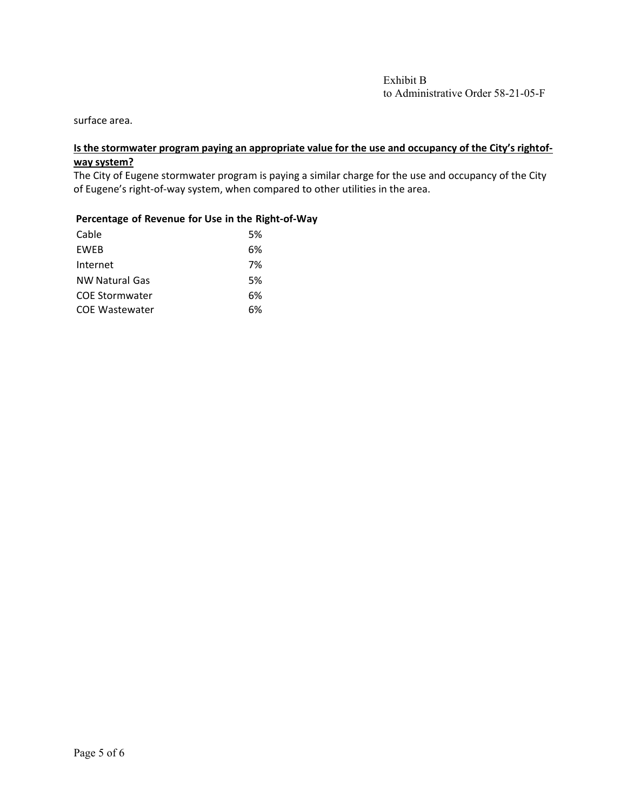surface area.

## Is the stormwater program paying an appropriate value for the use and occupancy of the City's rightof**way system?**

The City of Eugene stormwater program is paying a similar charge for the use and occupancy of the City of Eugene's right‐of‐way system, when compared to other utilities in the area.

#### **Percentage of Revenue for Use in the Right‐of‐Way**

| Cable                 | .5% |
|-----------------------|-----|
| <b>FWFB</b>           | 6%  |
| Internet              | 7%  |
| <b>NW Natural Gas</b> | 5%  |
| <b>COE Stormwater</b> | 6%  |
| <b>COE Wastewater</b> | ና%  |